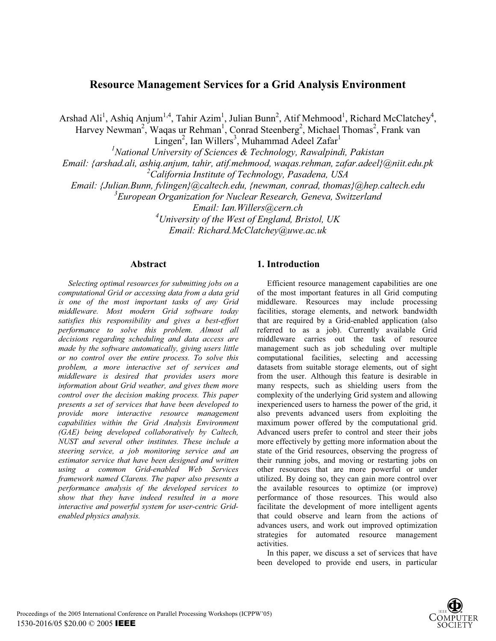# **Resource Management Services for a Grid Analysis Environment**

Arshad Ali<sup>1</sup>, Ashiq Anjum<sup>1,4</sup>, Tahir Azim<sup>1</sup>, Julian Bunn<sup>2</sup>, Atif Mehmood<sup>1</sup>, Richard McClatchey<sup>4</sup>,

Harvey Newman<sup>2</sup>, Waqas ur Rehman<sup>1</sup>, Conrad Steenberg<sup>2</sup>, Michael Thomas<sup>2</sup>, Frank van Lingen<sup>2</sup>, Ian Willers<sup>3</sup>, Muhammad Adeel Zafar<sup>1</sup>

*1 National University of Sciences & Technology, Rawalpindi, Pakistan* 

*Email: {arshad.ali, ashiq.anjum, tahir, atif.mehmood, waqas.rehman, zafar.adeel}@niit.edu.pk* 

*2 California Institute of Technology, Pasadena, USA* 

*Email: {Julian.Bunn, fvlingen}@caltech.edu, {newman, conrad, thomas}@hep.caltech.edu* 

*3 European Organization for Nuclear Research, Geneva, Switzerland* 

*Email: Ian.Willers@cern.ch* 

*4 University of the West of England, Bristol, UK Email: Richard.McClatchey@uwe.ac.uk* 

## **Abstract**

*Selecting optimal resources for submitting jobs on a computational Grid or accessing data from a data grid is one of the most important tasks of any Grid middleware. Most modern Grid software today satisfies this responsibility and gives a best-effort performance to solve this problem. Almost all decisions regarding scheduling and data access are made by the software automatically, giving users little or no control over the entire process. To solve this problem, a more interactive set of services and middleware is desired that provides users more information about Grid weather, and gives them more control over the decision making process. This paper presents a set of services that have been developed to provide more interactive resource management capabilities within the Grid Analysis Environment (GAE) being developed collaboratively by Caltech, NUST and several other institutes. These include a steering service, a job monitoring service and an estimator service that have been designed and written using a common Grid-enabled Web Services framework named Clarens. The paper also presents a performance analysis of the developed services to show that they have indeed resulted in a more interactive and powerful system for user-centric Gridenabled physics analysis.* 

## **1. Introduction**

Efficient resource management capabilities are one of the most important features in all Grid computing middleware. Resources may include processing facilities, storage elements, and network bandwidth that are required by a Grid-enabled application (also referred to as a job). Currently available Grid middleware carries out the task of resource management such as job scheduling over multiple computational facilities, selecting and accessing datasets from suitable storage elements, out of sight from the user. Although this feature is desirable in many respects, such as shielding users from the complexity of the underlying Grid system and allowing inexperienced users to harness the power of the grid, it also prevents advanced users from exploiting the maximum power offered by the computational grid. Advanced users prefer to control and steer their jobs more effectively by getting more information about the state of the Grid resources, observing the progress of their running jobs, and moving or restarting jobs on other resources that are more powerful or under utilized. By doing so, they can gain more control over the available resources to optimize (or improve) performance of those resources. This would also facilitate the development of more intelligent agents that could observe and learn from the actions of advances users, and work out improved optimization strategies for automated resource management activities.

In this paper, we discuss a set of services that have been developed to provide end users, in particular

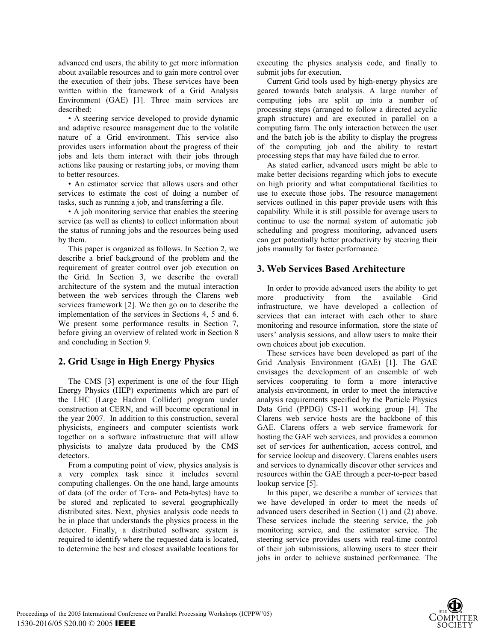advanced end users, the ability to get more information about available resources and to gain more control over the execution of their jobs. These services have been written within the framework of a Grid Analysis Environment (GAE) [1]. Three main services are described:

• A steering service developed to provide dynamic and adaptive resource management due to the volatile nature of a Grid environment. This service also provides users information about the progress of their jobs and lets them interact with their jobs through actions like pausing or restarting jobs, or moving them to better resources.

• An estimator service that allows users and other services to estimate the cost of doing a number of tasks, such as running a job, and transferring a file.

• A job monitoring service that enables the steering service (as well as clients) to collect information about the status of running jobs and the resources being used by them.

This paper is organized as follows. In Section 2, we describe a brief background of the problem and the requirement of greater control over job execution on the Grid. In Section 3, we describe the overall architecture of the system and the mutual interaction between the web services through the Clarens web services framework [2]. We then go on to describe the implementation of the services in Sections 4, 5 and 6. We present some performance results in Section 7, before giving an overview of related work in Section 8 and concluding in Section 9.

## **2. Grid Usage in High Energy Physics**

The CMS [3] experiment is one of the four High Energy Physics (HEP) experiments which are part of the LHC (Large Hadron Collider) program under construction at CERN, and will become operational in the year 2007. In addition to this construction, several physicists, engineers and computer scientists work together on a software infrastructure that will allow physicists to analyze data produced by the CMS detectors.

From a computing point of view, physics analysis is a very complex task since it includes several computing challenges. On the one hand, large amounts of data (of the order of Tera- and Peta-bytes) have to be stored and replicated to several geographically distributed sites. Next, physics analysis code needs to be in place that understands the physics process in the detector. Finally, a distributed software system is required to identify where the requested data is located, to determine the best and closest available locations for

executing the physics analysis code, and finally to submit jobs for execution.

Current Grid tools used by high-energy physics are geared towards batch analysis. A large number of computing jobs are split up into a number of processing steps (arranged to follow a directed acyclic graph structure) and are executed in parallel on a computing farm. The only interaction between the user and the batch job is the ability to display the progress of the computing job and the ability to restart processing steps that may have failed due to error.

As stated earlier, advanced users might be able to make better decisions regarding which jobs to execute on high priority and what computational facilities to use to execute those jobs. The resource management services outlined in this paper provide users with this capability. While it is still possible for average users to continue to use the normal system of automatic job scheduling and progress monitoring, advanced users can get potentially better productivity by steering their jobs manually for faster performance.

## **3. Web Services Based Architecture**

In order to provide advanced users the ability to get more productivity from the available Grid infrastructure, we have developed a collection of services that can interact with each other to share monitoring and resource information, store the state of users' analysis sessions, and allow users to make their own choices about job execution.

These services have been developed as part of the Grid Analysis Environment (GAE) [1]. The GAE envisages the development of an ensemble of web services cooperating to form a more interactive analysis environment, in order to meet the interactive analysis requirements specified by the Particle Physics Data Grid (PPDG) CS-11 working group [4]. The Clarens web service hosts are the backbone of this GAE. Clarens offers a web service framework for hosting the GAE web services, and provides a common set of services for authentication, access control, and for service lookup and discovery. Clarens enables users and services to dynamically discover other services and resources within the GAE through a peer-to-peer based lookup service [5].

In this paper, we describe a number of services that we have developed in order to meet the needs of advanced users described in Section (1) and (2) above. These services include the steering service, the job monitoring service, and the estimator service. The steering service provides users with real-time control of their job submissions, allowing users to steer their jobs in order to achieve sustained performance. The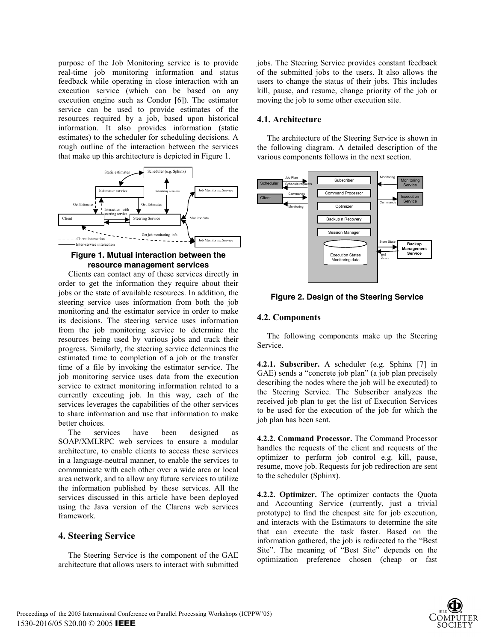purpose of the Job Monitoring service is to provide real-time job monitoring information and status feedback while operating in close interaction with an execution service (which can be based on any execution engine such as Condor [6]). The estimator service can be used to provide estimates of the resources required by a job, based upon historical information. It also provides information (static estimates) to the scheduler for scheduling decisions. A rough outline of the interaction between the services that make up this architecture is depicted in Figure 1.



### **Figure 1. Mutual interaction between the resource management services**

Clients can contact any of these services directly in order to get the information they require about their jobs or the state of available resources. In addition, the steering service uses information from both the job monitoring and the estimator service in order to make its decisions. The steering service uses information from the job monitoring service to determine the resources being used by various jobs and track their progress. Similarly, the steering service determines the estimated time to completion of a job or the transfer time of a file by invoking the estimator service. The job monitoring service uses data from the execution service to extract monitoring information related to a currently executing job. In this way, each of the services leverages the capabilities of the other services to share information and use that information to make better choices.

The services have been designed as SOAP/XMLRPC web services to ensure a modular architecture, to enable clients to access these services in a language-neutral manner, to enable the services to communicate with each other over a wide area or local area network, and to allow any future services to utilize the information published by these services. All the services discussed in this article have been deployed using the Java version of the Clarens web services framework.

## **4. Steering Service**

The Steering Service is the component of the GAE architecture that allows users to interact with submitted jobs. The Steering Service provides constant feedback of the submitted jobs to the users. It also allows the users to change the status of their jobs. This includes kill, pause, and resume, change priority of the job or moving the job to some other execution site.

## **4.1. Architecture**

The architecture of the Steering Service is shown in the following diagram. A detailed description of the various components follows in the next section.



#### **Figure 2. Design of the Steering Service**

## **4.2. Components**

The following components make up the Steering Service.

**4.2.1. Subscriber.** A scheduler (e.g. Sphinx [7] in GAE) sends a "concrete job plan" (a job plan precisely describing the nodes where the job will be executed) to the Steering Service. The Subscriber analyzes the received job plan to get the list of Execution Services to be used for the execution of the job for which the job plan has been sent.

**4.2.2. Command Processor.** The Command Processor handles the requests of the client and requests of the optimizer to perform job control e.g. kill, pause, resume, move job. Requests for job redirection are sent to the scheduler (Sphinx).

**4.2.2. Optimizer.** The optimizer contacts the Quota and Accounting Service (currently, just a trivial prototype) to find the cheapest site for job execution, and interacts with the Estimators to determine the site that can execute the task faster. Based on the information gathered, the job is redirected to the "Best Site". The meaning of "Best Site" depends on the optimization preference chosen (cheap or fast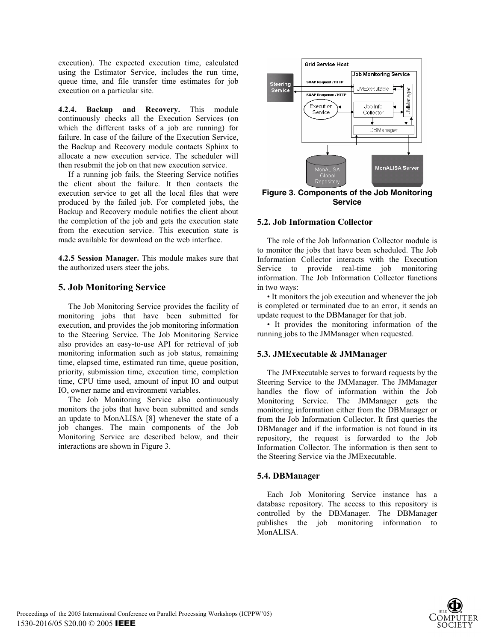execution). The expected execution time, calculated using the Estimator Service, includes the run time, queue time, and file transfer time estimates for job execution on a particular site.

**4.2.4. Backup and Recovery.** This module continuously checks all the Execution Services (on which the different tasks of a job are running) for failure. In case of the failure of the Execution Service, the Backup and Recovery module contacts Sphinx to allocate a new execution service. The scheduler will then resubmit the job on that new execution service.

If a running job fails, the Steering Service notifies the client about the failure. It then contacts the execution service to get all the local files that were produced by the failed job. For completed jobs, the Backup and Recovery module notifies the client about the completion of the job and gets the execution state from the execution service. This execution state is made available for download on the web interface.

**4.2.5 Session Manager.** This module makes sure that the authorized users steer the jobs.

## **5. Job Monitoring Service**

The Job Monitoring Service provides the facility of monitoring jobs that have been submitted for execution, and provides the job monitoring information to the Steering Service. The Job Monitoring Service also provides an easy-to-use API for retrieval of job monitoring information such as job status, remaining time, elapsed time, estimated run time, queue position, priority, submission time, execution time, completion time, CPU time used, amount of input IO and output IO, owner name and environment variables.

The Job Monitoring Service also continuously monitors the jobs that have been submitted and sends an update to MonALISA [8] whenever the state of a job changes. The main components of the Job Monitoring Service are described below, and their interactions are shown in Figure 3.



**Figure 3. Components of the Job Monitoring Service** 

## **5.2. Job Information Collector**

The role of the Job Information Collector module is to monitor the jobs that have been scheduled. The Job Information Collector interacts with the Execution Service to provide real-time job monitoring information. The Job Information Collector functions in two ways:

• It monitors the job execution and whenever the job is completed or terminated due to an error, it sends an update request to the DBManager for that job.

• It provides the monitoring information of the running jobs to the JMManager when requested.

## **5.3. JMExecutable & JMManager**

The JMExecutable serves to forward requests by the Steering Service to the JMManager. The JMManager handles the flow of information within the Job Monitoring Service. The JMManager gets the monitoring information either from the DBManager or from the Job Information Collector. It first queries the DBManager and if the information is not found in its repository, the request is forwarded to the Job Information Collector. The information is then sent to the Steering Service via the JMExecutable.

## **5.4. DBManager**

Each Job Monitoring Service instance has a database repository. The access to this repository is controlled by the DBManager. The DBManager publishes the job monitoring information to MonALISA.

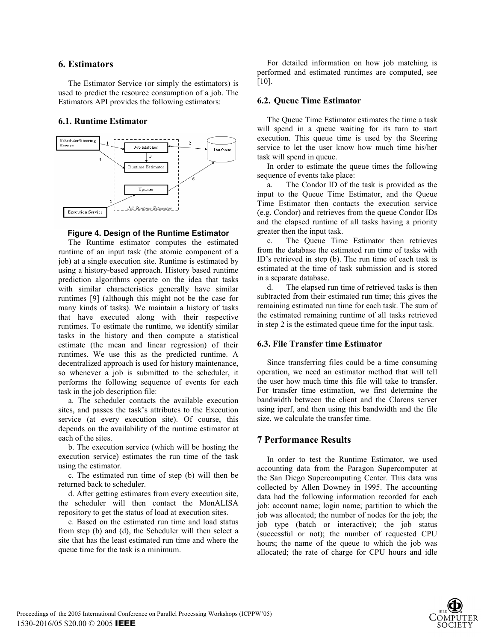## **6. Estimators**

The Estimator Service (or simply the estimators) is used to predict the resource consumption of a job. The Estimators API provides the following estimators:

#### **6.1. Runtime Estimator**



#### **Figure 4. Design of the Runtime Estimator**

The Runtime estimator computes the estimated runtime of an input task (the atomic component of a job) at a single execution site. Runtime is estimated by using a history-based approach. History based runtime prediction algorithms operate on the idea that tasks with similar characteristics generally have similar runtimes [9] (although this might not be the case for many kinds of tasks). We maintain a history of tasks that have executed along with their respective runtimes. To estimate the runtime, we identify similar tasks in the history and then compute a statistical estimate (the mean and linear regression) of their runtimes. We use this as the predicted runtime. A decentralized approach is used for history maintenance, so whenever a job is submitted to the scheduler, it performs the following sequence of events for each task in the job description file:

a. The scheduler contacts the available execution sites, and passes the task's attributes to the Execution service (at every execution site). Of course, this depends on the availability of the runtime estimator at each of the sites.

b. The execution service (which will be hosting the execution service) estimates the run time of the task using the estimator.

c. The estimated run time of step (b) will then be returned back to scheduler.

d. After getting estimates from every execution site, the scheduler will then contact the MonALISA repository to get the status of load at execution sites.

e. Based on the estimated run time and load status from step (b) and (d), the Scheduler will then select a site that has the least estimated run time and where the queue time for the task is a minimum.

For detailed information on how job matching is performed and estimated runtimes are computed, see [10].

#### **6.2. Queue Time Estimator**

The Queue Time Estimator estimates the time a task will spend in a queue waiting for its turn to start execution. This queue time is used by the Steering service to let the user know how much time his/her task will spend in queue.

In order to estimate the queue times the following sequence of events take place:

a. The Condor ID of the task is provided as the input to the Queue Time Estimator, and the Queue Time Estimator then contacts the execution service (e.g. Condor) and retrieves from the queue Condor IDs and the elapsed runtime of all tasks having a priority greater then the input task.

c. The Queue Time Estimator then retrieves from the database the estimated run time of tasks with ID's retrieved in step (b). The run time of each task is estimated at the time of task submission and is stored in a separate database.

d. The elapsed run time of retrieved tasks is then subtracted from their estimated run time; this gives the remaining estimated run time for each task. The sum of the estimated remaining runtime of all tasks retrieved in step 2 is the estimated queue time for the input task.

#### **6.3. File Transfer time Estimator**

Since transferring files could be a time consuming operation, we need an estimator method that will tell the user how much time this file will take to transfer. For transfer time estimation, we first determine the bandwidth between the client and the Clarens server using iperf, and then using this bandwidth and the file size, we calculate the transfer time.

## **7 Performance Results**

In order to test the Runtime Estimator, we used accounting data from the Paragon Supercomputer at the San Diego Supercomputing Center. This data was collected by Allen Downey in 1995. The accounting data had the following information recorded for each job: account name; login name; partition to which the job was allocated; the number of nodes for the job; the job type (batch or interactive); the job status (successful or not); the number of requested CPU hours; the name of the queue to which the job was allocated; the rate of charge for CPU hours and idle

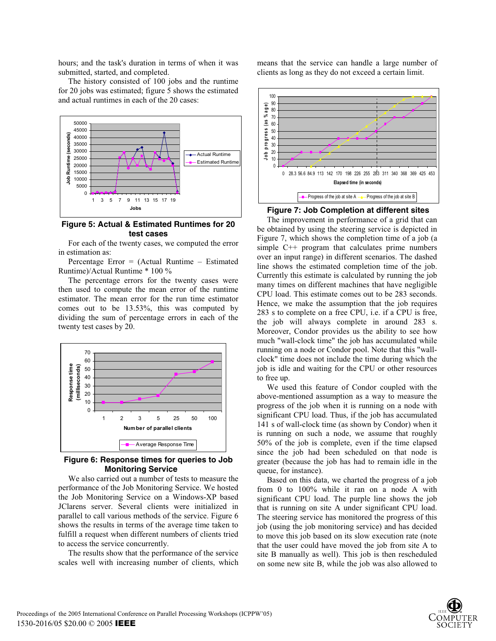hours; and the task's duration in terms of when it was submitted, started, and completed.

The history consisted of 100 jobs and the runtime for 20 jobs was estimated; figure 5 shows the estimated and actual runtimes in each of the 20 cases:



**Figure 5: Actual & Estimated Runtimes for 20 test cases** 

For each of the twenty cases, we computed the error in estimation as:

Percentage Error = (Actual Runtime – Estimated Runtime)/Actual Runtime \* 100 %

The percentage errors for the twenty cases were then used to compute the mean error of the runtime estimator. The mean error for the run time estimator comes out to be 13.53%, this was computed by dividing the sum of percentage errors in each of the twenty test cases by 20.



#### **Figure 6: Response times for queries to Job Monitoring Service**

We also carried out a number of tests to measure the performance of the Job Monitoring Service. We hosted the Job Monitoring Service on a Windows-XP based JClarens server. Several clients were initialized in parallel to call various methods of the service. Figure 6 shows the results in terms of the average time taken to fulfill a request when different numbers of clients tried to access the service concurrently.

The results show that the performance of the service scales well with increasing number of clients, which means that the service can handle a large number of clients as long as they do not exceed a certain limit.



 **Figure 7: Job Completion at different sites** 

The improvement in performance of a grid that can be obtained by using the steering service is depicted in Figure 7, which shows the completion time of a job (a simple C++ program that calculates prime numbers over an input range) in different scenarios. The dashed line shows the estimated completion time of the job. Currently this estimate is calculated by running the job many times on different machines that have negligible CPU load. This estimate comes out to be 283 seconds. Hence, we make the assumption that the job requires 283 s to complete on a free CPU, i.e. if a CPU is free, the job will always complete in around 283 s. Moreover, Condor provides us the ability to see how much "wall-clock time" the job has accumulated while running on a node or Condor pool. Note that this "wallclock" time does not include the time during which the job is idle and waiting for the CPU or other resources to free up.

We used this feature of Condor coupled with the above-mentioned assumption as a way to measure the progress of the job when it is running on a node with significant CPU load. Thus, if the job has accumulated 141 s of wall-clock time (as shown by Condor) when it is running on such a node, we assume that roughly 50% of the job is complete, even if the time elapsed since the job had been scheduled on that node is greater (because the job has had to remain idle in the queue, for instance).

Based on this data, we charted the progress of a job from 0 to 100% while it ran on a node A with significant CPU load. The purple line shows the job that is running on site A under significant CPU load. The steering service has monitored the progress of this job (using the job monitoring service) and has decided to move this job based on its slow execution rate (note that the user could have moved the job from site A to site B manually as well). This job is then rescheduled on some new site B, while the job was also allowed to

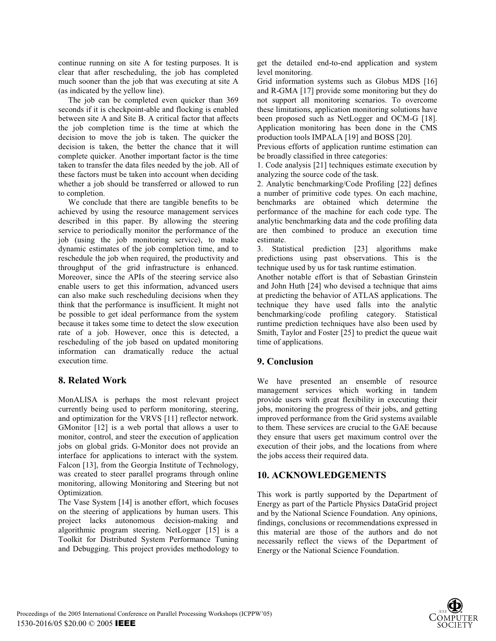continue running on site A for testing purposes. It is clear that after rescheduling, the job has completed much sooner than the job that was executing at site A (as indicated by the yellow line).

The job can be completed even quicker than 369 seconds if it is checkpoint-able and flocking is enabled between site A and Site B. A critical factor that affects the job completion time is the time at which the decision to move the job is taken. The quicker the decision is taken, the better the chance that it will complete quicker. Another important factor is the time taken to transfer the data files needed by the job. All of these factors must be taken into account when deciding whether a job should be transferred or allowed to run to completion.

We conclude that there are tangible benefits to be achieved by using the resource management services described in this paper. By allowing the steering service to periodically monitor the performance of the job (using the job monitoring service), to make dynamic estimates of the job completion time, and to reschedule the job when required, the productivity and throughput of the grid infrastructure is enhanced. Moreover, since the APIs of the steering service also enable users to get this information, advanced users can also make such rescheduling decisions when they think that the performance is insufficient. It might not be possible to get ideal performance from the system because it takes some time to detect the slow execution rate of a job. However, once this is detected, a rescheduling of the job based on updated monitoring information can dramatically reduce the actual execution time.

# **8. Related Work**

MonALISA is perhaps the most relevant project currently being used to perform monitoring, steering, and optimization for the VRVS [11] reflector network. GMonitor [12] is a web portal that allows a user to monitor, control, and steer the execution of application jobs on global grids. G-Monitor does not provide an interface for applications to interact with the system. Falcon [13], from the Georgia Institute of Technology, was created to steer parallel programs through online monitoring, allowing Monitoring and Steering but not Optimization.

The Vase System [14] is another effort, which focuses on the steering of applications by human users. This project lacks autonomous decision-making and algorithmic program steering. NetLogger [15] is a Toolkit for Distributed System Performance Tuning and Debugging. This project provides methodology to

get the detailed end-to-end application and system level monitoring.

Grid information systems such as Globus MDS [16] and R-GMA [17] provide some monitoring but they do not support all monitoring scenarios. To overcome these limitations, application monitoring solutions have been proposed such as NetLogger and OCM-G [18]. Application monitoring has been done in the CMS production tools IMPALA [19] and BOSS [20].

Previous efforts of application runtime estimation can be broadly classified in three categories:

1. Code analysis [21] techniques estimate execution by analyzing the source code of the task.

2. Analytic benchmarking/Code Profiling [22] defines a number of primitive code types. On each machine, benchmarks are obtained which determine the performance of the machine for each code type. The analytic benchmarking data and the code profiling data are then combined to produce an execution time estimate.

3. Statistical prediction [23] algorithms make predictions using past observations. This is the technique used by us for task runtime estimation.

Another notable effort is that of Sebastian Grinstein and John Huth [24] who devised a technique that aims at predicting the behavior of ATLAS applications. The technique they have used falls into the analytic benchmarking/code profiling category. Statistical runtime prediction techniques have also been used by Smith, Taylor and Foster [25] to predict the queue wait time of applications.

# **9. Conclusion**

We have presented an ensemble of resource management services which working in tandem provide users with great flexibility in executing their jobs, monitoring the progress of their jobs, and getting improved performance from the Grid systems available to them. These services are crucial to the GAE because they ensure that users get maximum control over the execution of their jobs, and the locations from where the jobs access their required data.

# **10. ACKNOWLEDGEMENTS**

This work is partly supported by the Department of Energy as part of the Particle Physics DataGrid project and by the National Science Foundation. Any opinions, findings, conclusions or recommendations expressed in this material are those of the authors and do not necessarily reflect the views of the Department of Energy or the National Science Foundation.